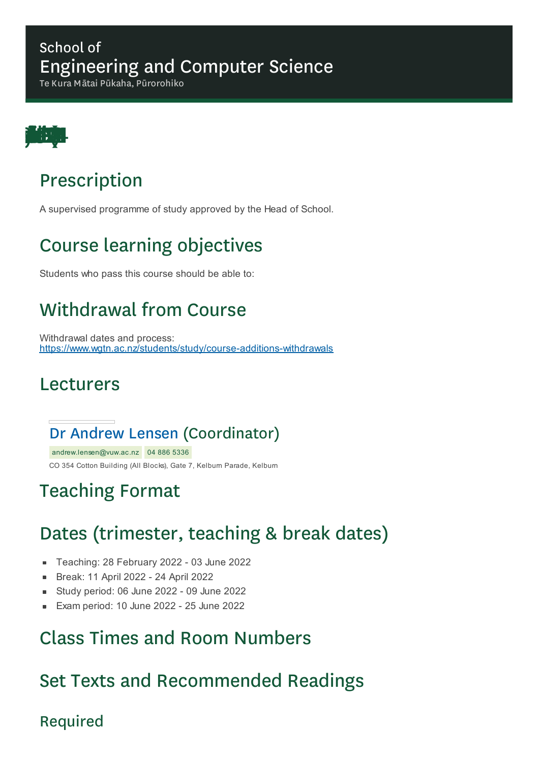### School of Engineering and Computer Science

Te Kura Mātai Pūkaha, Pūrorohiko



## Prescription

A supervised programme of study approved by the Head of School.

# Course learning objectives

Students who pass this course should be able to:

# Withdrawal from Course

Withdrawal dates and process: https://www.wgtn.ac.nz/students/study/course-additions-withdrawals

### Lecturers

### Dr Andrew Lensen (Coordinator)

andrew.lensen@vuw.ac.nz 04 886 5336 CO 354 Cotton Building (All Blocks), Gate 7, Kelburn Parade, Kelburn

## Teaching Format

# Dates (trimester, teaching & break dates)

- Teaching: 28 February 2022 03 June 2022
- $\blacksquare$ Break: 11 April 2022 - 24 April 2022
- Study period: 06 June 2022 09 June 2022
- Exam period: 10 June 2022 25 June 2022

### Class Times and Room Numbers

## Set Texts and Recommended Readings

### Required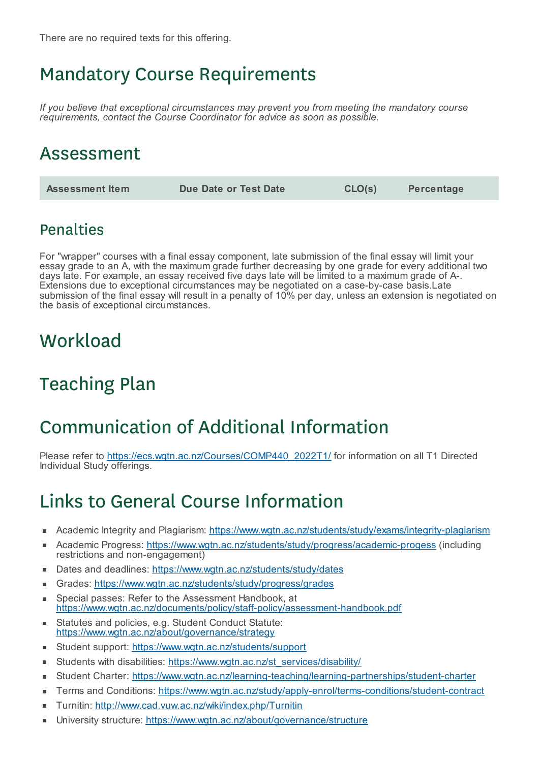## Mandatory Course Requirements

*If you believe that exceptional circumstances may prevent you from meeting the mandatory course requirements, contact the Course Coordinator for advice as soon as possible.*

### Assessment

| <b>Assessment Item</b> | Due Date or Test Date | CLO(s) | Percentage |
|------------------------|-----------------------|--------|------------|
|------------------------|-----------------------|--------|------------|

### Penalties

For "wrapper" courses with a final essay component, late submission of the final essay will limit your essay grade to an A, with the maximum grade further decreasing by one grade for every additional two days late. For example, an essay received five days late will be limited to a maximum grade of A-. Extensions due to exceptional circumstances may be negotiated on a case-by-case basis.Late submission of the final essay will result in a penalty of 10% per day, unless an extension is negotiated on the basis of exceptional circumstances.

### **Workload**

# Teaching Plan

## Communication of Additional Information

Please refer to https://ecs.wgtn.ac.nz/Courses/COMP440\_2022T1/ for information on all T1 Directed Individual Study offerings.

# Links to General Course Information

- Academic Integrity and Plagiarism: https://www.wgtn.ac.nz/students/study/exams/integrity-plagiarism
- Academic Progress: https://www.wgtn.ac.nz/students/study/progress/academic-progess (including  $\blacksquare$ restrictions and non-engagement)
- Dates and deadlines: https://www.wgtn.ac.nz/students/study/dates É
- Grades: https://www.wgtn.ac.nz/students/study/progress/grades
- Special passes: Refer to the Assessment Handbook, at É https://www.wgtn.ac.nz/documents/policy/staff-policy/assessment-handbook.pdf
- Statutes and policies, e.g. Student Conduct Statute: https://www.wgtn.ac.nz/about/governance/strategy
- Student support: https://www.wgtn.ac.nz/students/support
- Students with disabilities: https://www.wgtn.ac.nz/st\_services/disability/  $\blacksquare$
- Student Charter: https://www.wgtn.ac.nz/learning-teaching/learning-partnerships/student-charter ×
- Terms and Conditions: https://www.wgtn.ac.nz/study/apply-enrol/terms-conditions/student-contract
- Turnitin: http://www.cad.vuw.ac.nz/wiki/index.php/Turnitin Ċ
- University structure: https://www.wgtn.ac.nz/about/governance/structureÉ